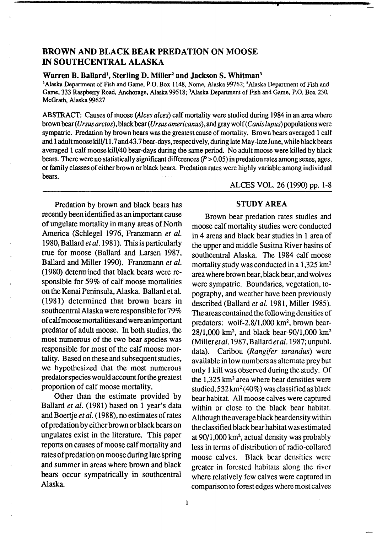# BROWN AND BLACK BEAR PREDATION ON MOOSE IN SOUTHCENTRAL ALASKA

## Warren B. Ballard<sup>1</sup>, Sterling D. Miller<sup>2</sup> and Jackson S. Whitman<sup>3</sup>

<sup>1</sup>Alaska Department of Fish and Game, P.O. Box 1148, Nome, Alaska 99762; <sup>2</sup>Alaska Department of Fish and Game, 333 Raspberry Road, Anchorage, Alaska 99518; 3 Alaska Department of Fish and Game, P.O. Box 230, McGrath, Alaska 99627

ABSTRACT: Causes of moose (Alces alces) calf mortality were studied during 1984 in an area where brown bear (Ursus arctos), black bear (Ursus americanus), and gray wolf (Canis lupus) populations were sympatric. Predation by brown bears was the greatest cause of mortality. Brown bears averaged 1 calf and 1 adult moose kill/11.7 and 43.7 bear-days, respectively, during late May-late June, while black bears averaged 1 calf moose kill/40 bear-days during the same period. No adult moose were killed by black bears. There were no statistically significant differences  $(P > 0.05)$  in predation rates among sexes, ages, or family classes of either brown or black bears. Predation rates were highly variable among individual bears.

Predation by brown and black bears has recently been identified as an important cause of ungulate mortality in many areas of North America (Schlegel 1976, Franzmann *et al.*  1980, Ballard *et al.* 1981). This is particularly true for moose (Ballard and Larsen 1987, Ballard and Miller 1990). Franzmann *et al.*  (1980) determined that black bears were responsible for 59% of calf moose mortalities on the Kenai Peninsula, Alaska. Ballard et al. (1981) determined that brown bears in southcentral Alaska were responsible for79% of calf moose mortalities and were an important predator of adult moose. In both studies, the most numerous of the two bear species was responsible for most of the calf moose mortality. Based on these and subsequent studies, we hypothesized that the most numerous predator species would account for the greatest proportion of calf moose mortality.

Other than the estimate provided by Ballard *et al.* (1981) based on 1 year's data and Boertje *et al.* ( 1988), no estimates of rates of predation by either brown or black bears on ungulates exist in the literature. This paper reports on causes of moose calf mortality and rates of predation on moose during late Spring and summer in areas where brown and black bears occur sympatrically in southcentral Alaska.

ALCES VOL. 26 (1990) pp. 1-8

## STUDY AREA

Brown bear predation rates studies and moose calf mortality studies were conducted in 4 areas and black bear studies in 1 area of the upper and middle Susitna River basins of southcentral Alaska. The 1984 calf moose mortality study was conducted in a 1,325 km<sup>2</sup> area where brown bear, black bear, and wolves were sympatric. Boundaries, vegetation, topography, and weather have been previously described (Ballard *et al.* 1981, Miller 1985). The areas contained the following densities of predators: wolf-2.8/1,000 km2, brown bear- $28/1,000$  km<sup>2</sup>, and black bear-90/1,000 km<sup>2</sup> (Miller et al. 1987, Ballard et al. 1987; unpubl. data). Caribou *(Rangifer tarandus)* were available in low numbers as alternate prey but only 1 kill was observed during the study. Of the  $1,325 \text{ km}^2$  area where bear densities were studied,  $532 \text{ km}^2 (40\%)$  was classified as black bear habitat. All moose calves were captured within or close to the black bear habitat. Although the average black bear density within the classified black bear habitat was estimated at 90/1,000 km<sup>2</sup>, actual density was probably less in terms of distribution of radio-collared moose calves. Black bear densities were greater in forested habitats along the river where relatively few calves were captured in comparison to forest edges where most calves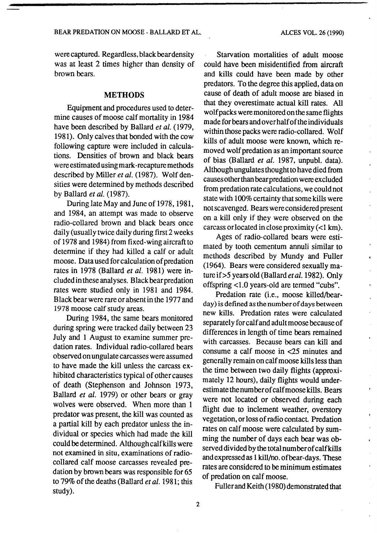were captured. Regardless, black bear density was at least 2 times higher than density of brown bears.

#### **METHODS**

Equipment and procedures used to determine causes of moose calf mortality in 1984 have been described by Ballard *et al.* (1979, 1981). Only calves that bonded with the cow following capture were included in calculations. Densities of brown and black bears were estimated using mark -recapture methods described by Miller *et al.* (1987). Wolf densities were determined by methods described by Ballard *et al.* (1987).

During late May and June of 1978, 1981, and 1984, an attempt was made to observe radio-collared brown and black bears once daily (usually twice daily during first2 weeks of 1978 and 1984) from fixed-wing aircraft to determine if they had killed a calf or adult moose. Data used for calculation of predation rates in 1978 (Ballard *et al.* 1981) were included in these analyses. Black bear predation rates were studied only in 1981 and 1984. Black bear were rare or absent in the 1977 and 1978 moose calf study areas.

During 1984, the same bears monitored during spring were tracked daily between 23 July and 1 August to examine summer predation rates. Individual radio-collared bears observed on ungulate carcasses were assumed to have made the kill unless the carcass exhibited characteristics typical of other causes of death (Stephenson and Johnson 1973, Ballard *et al.* 1979) or other bears or gray wolves were observed. When more than 1 predator was present, the kill was counted as a partial kill by each predator unless the individual or species which had made the kill could be determined. Although calf kills were not examined in situ, examinations of radiocollared calf moose carcasses revealed predation by brown bears was responsible for *65*  to 79% of the deaths (Ballard *et al.* 1981; this study).

Starvation mortalities of adult moose could have been misidentified from aircraft and kills could have been made by other predators. To the degree this applied, data on cause of death of adult moose are biased in that they overestimate actual kill rates. All wolf packs were monitored on the same flights made for bears and over half of the individuals within those packs were radio-collared. Wolf kills of adult moose were known, which removed wolf predation as an important source of bias (Ballard *et al.* 1987, unpubl. data). Although ungulates thought to have died from causes other than bear predation were excluded from predation rate calculations, we could not state with 100% certainty that some kills were not scavenged. Bears were considered present on a kill only if they were observed on the carcass or located in close proximity  $(<1$  km).

Ages of radio-collared bears were estimated by tooth cementum annuli similar to methods described by Mundy and Fuller (1964). Bears were considered sexually mature if>5 years old (Ballard *et al.* 1982). Only offspring <1.0 years-old are termed "cubs".

Predation rate (i.e., moose killed/bearday) is defined as the number of days between new kills. Predation rates were calculated separately for calf and adult moose because of differences in length of time bears remained with carcasses. Because bears can kill and consume a calf moose in <25 minutes and generally remain on calf moose kills less than the time between two daily flights (approximately 12 hours), daily flights would underestimate the number of calf moose kills. Bears were not located or observed during each flight due to inclement weather, overstory vegetation, or loss of radio contact. Predation rates on calf moose were calculated by summing the number of days each bear was observed divided by the totalnumberofcalfkills and expressed as 1 kill/no. ofbear-days. These rates are considered to be minimum estimates of predation on calf moose.

 $\mathbf{r}$ 

 $\bullet$ 

Fuller and Keith (1980) demonstrated that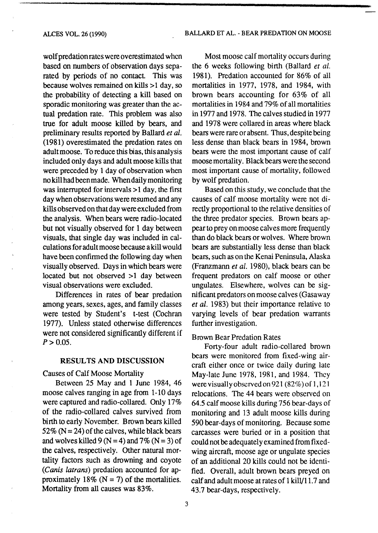wolf predation rates were overestimated when based on numbers of observation days separated by periods of no contact. This was because wolves remained on kills >1 day, so the probability of detecting a kill based on sporadic monitoring was greater than the actual predation rate. This problem was also true for adult moose killed by bears, and preliminary results reported by Ballard *et al.*  (1981) overestimated the predation rates on adult moose. To reduce this bias, this analysis included only days and adult moose kills that were preceded by 1 day of observation when nokillhadbeenmade. Whendailymonitoring was interrupted for intervals >1 day, the first day when observations were resumed and any kills observed on that day were excluded from the analysis. When bears were radio-located but not visually observed for 1 day between visuals, that single day was included in calculations for adult moose because a kill would have been confirmed the following day when visually observed. Days in which bears were located but not observed  $>1$  day between visual observations were excluded.

Differences in rates of bear predation among years, sexes, ages, and family classes were tested by Student's t-test (Cochran 1977). Unless stated otherwise differences were not considered significantly different if  $P > 0.05$ .

### RESULTS AND DISCUSSION

Causes of Calf Moose Mortality

Between 25 May and 1 June 1984, 46 moose calves ranging in age from 1-10 days were captured and radio-collared. Only 17% of the radio-collared calves survived from birth to early November. Brown bears killed 52% ( $N = 24$ ) of the calves, while black bears and wolves killed 9 ( $N = 4$ ) and 7% ( $N = 3$ ) of the calves, respectively. Other natural mortality factors such as drowning and coyote *(Canis latrans)* predation accounted for approximately 18% ( $N = 7$ ) of the mortalities. Mortality from all causes was 83%.

Most moose calf mortality occurs during the 6 weeks following birth (Ballard *et al.*  1981). Predation accounted for 86% of all mortalities in 1977, 1978, and 1984, with brown bears accounting for 63% of all mortalities in 1984 and 79% of all mortalities in 1977 and 1978. The calves studied in 1977 and 1978 were collared in areas where black bears were rare or absent. Thus, despite being less dense than black bears in 1984, brown bears were the most important cause of calf moose mortality. Black bears were the second most important cause of mortality, followed by wolf predation.

Based on this study, we conclude that the causes of calf moose mortality were not directly proportional to the relative densities of the three predator species. Brown bears appearto prey on moose calves more frequently than do black bears or wolves. Where brown bears are substantially less dense than black bears, such as on the Kenai Peninsula, Alaska (Franzmann *et al.* 1980), black bears can be frequent predators on calf moose or other ungulates. Elsewhere, wolves can be significant predators on moose calves (Gasaway *et al.* 1983) but their importance relative to varying levels of bear predation warrants further investigation.

### Brown Bear Predation Rates

Forty-four adult radio-collared brown bears were monitored from fixed-wing aircraft either once or twice daily during late May-late June 1978, 1981, and 1984. They were visually observed on 921 (82%) of 1,121 relocations. The 44 bears were observed on 64.5 calf moose kills during 756 bear-days of monitoring and 13 adult moose kills during 590 bear-days of monitoring. Because some carcasses were buried or in a position that could not be adequately examined from fixedwing aircraft, moose age or ungulate species of an additional 20 kills could not be identified. Overall, adult brown bears preyed on calf and adult moose at rates of 1 kill/11.7 and 43.7 bear-days, respectively.

3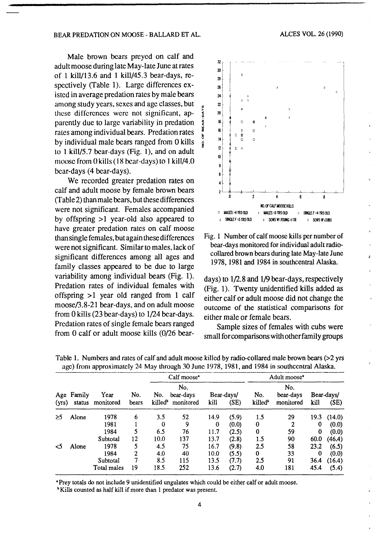#### BEAR PREDATION ON MOOSE - BALLARD ET AL.

Male brown bears preyed on calf and adult moose during late May -late June at rates of 1 kill/13.6 and 1 kill/45.3 bear-days, respectively (Table 1). Large differences existed in average predation rates by male bears among study years, sexes and age classes, but 0 these differences were not significant, apparently due to large variability in predation rates among individual bears. Predation rates ; by individual male bears ranged from 0 kills  $\frac{3}{8}$ to 1 kill/5.7 bear-days (Fig. 1), and on adult moose from 0 kills ( 18 bear-days) to I kill/4.0 bear-days (4 bear-days).

We recorded greater predation rates on calf and adult moose by female brown bears (Table 2) than male bears, but these differences were not significant. Females accompanied by offspring  $>1$  year-old also appeared to have greater predation rates on calf moose than single females, but again these differences were not significant. Similar to males, lack of significant differences among all ages and family classes appeared to be due to large variability among individual bears (Fig. 1). Predation rates of individual females with offspring  $>1$  year old ranged from 1 calf moose/3.8-21 bear-days, and on adult moose from 0 kills (23 bear-days) to l/24 bear-days. Predation rates of single female bears ranged from 0 calf or adult moose kills (0/26 bear-





days) to l/2.8 and l/9 bear-days, respectively (Fig. 1). Twenty unidentified kills added as either calf or adult moose did not change the outcome of the statistical comparisons for either male or female bears.

Sample sizes of females with cubs were small for comparisons with otherfamily groups

|              | Family<br>status | Year<br>monitored | No.<br>bears | Calf moose <sup>*</sup>    |                               |           |                    | Adult moose <sup>1</sup>   |                               |               |                    |
|--------------|------------------|-------------------|--------------|----------------------------|-------------------------------|-----------|--------------------|----------------------------|-------------------------------|---------------|--------------------|
| Age<br>(yrs) |                  |                   |              | No.<br>killed <sup>b</sup> | No.<br>bear-days<br>monitored | kill      | Bear-days/<br>(SE) | No.<br>killed <sup>b</sup> | No.<br>bear-days<br>monitored | kill          | Bear-days/<br>(SE) |
| ≥5           | Alone            | 1978              | 6            | 3.5                        | 52                            | 14.9      | (5.9)              | 1.5                        | 29                            | 19.3          | (14.0)             |
|              |                  | 1981<br>1984      | 5            | 0<br>6.5                   | 9<br>76                       | 0<br>11.7 | (0.0)<br>(2.5)     | 0<br>0                     | 2<br>59                       | 0<br>$\bf{0}$ | (0.0)<br>(0.0)     |
|              |                  | Subtotal          | 12           | 10.0                       | 137                           | 13.7      | (2.8)              | 1.5                        | 90                            | 60.0          | (46.4)             |
| <5           | Alone            | 1978              | 5            | 4.5                        | 75                            | 16.7      | (9.8)              | 2.5                        | 58                            | 23.2          | (6.5)              |
|              |                  | 1984              | 2            | 4.0                        | 40                            | 10.0      | (5.5)              | 0                          | 33                            | 0             | (0.0)              |
|              |                  | Subtotal          | 7            | 8.5                        | 115                           | 13.5      | (7.7)              | 2.5                        | 91                            | 36.4          | (16.4)             |
|              |                  | Total males       | 19           | 18.5                       | 252                           | 13.6      | (2.7)              | 4.0                        | 181                           | 45.4          | (5.4)              |

Table 1. Numbers and rates of calf and adult moose killed by radio-collared male brown bears (>2 yrs age) from approximately 24 May through 30 June 1978, 1981, and 1984 in southccntral Alaska.

• Prey totals do not include 9 unidentified ungulates which could be either calf or adult moose.

b Kills counted as half kill if more than 1 predator was present.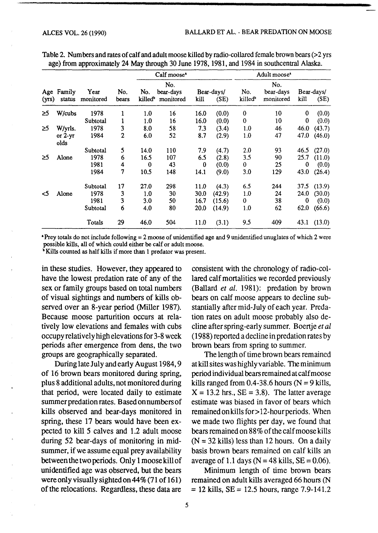| (yrs) | Age Family<br>status | Year<br>monitored | No.<br>bears | Calf moose <sup>*</sup> |           |            |        | Adult moose <sup>*</sup> |                  |            |             |
|-------|----------------------|-------------------|--------------|-------------------------|-----------|------------|--------|--------------------------|------------------|------------|-------------|
|       |                      |                   |              | No.<br>No.<br>bear-days |           | Bear-days/ |        | No.                      | No.<br>bear-days | Bear-days/ |             |
|       |                      |                   |              | killed"                 | monitored | kill       | (SE)   | killed <sup>b</sup>      | monitored        | kill       | (SE)        |
| ≥5    | W/cubs               | 1978              | 1            | 1.0                     | 16        | 16.0       | (0.0)  | 0                        | 10               | 0          | (0.0)       |
|       |                      | Subtotal          | 1            | 1.0                     | 16        | 16.0       | (0.0)  | 0                        | 10               | 0          | (0.0)       |
| ≥5    | W/yrls.              | 1978              | 3            | 8.0                     | 58        | 7.3        | (3.4)  | 1.0                      | 46               | 46.0       | (43.7)      |
|       | or $2-yr$<br>olds    | 1984              | $\mathbf{2}$ | 6.0                     | 52        | 8.7        | (2.9)  | 1.0                      | 47               | 47.0       | (46.0)      |
|       |                      | Subtotal          | 5            | 14.0                    | 110       | 7.9        | (4.7)  | 2.0                      | 93               | 46.5       | (27.0)      |
| 25    | Alone                | 1978              | 6            | 16.5                    | 107       | 6.5        | (2.8)  | 3.5                      | 90               | 25.7       | (11.0)      |
|       |                      | 1981              | 4            | $\bf{0}$                | 43        | 0          | (0.0)  | 0                        | 25               | 0          | (0.0)       |
|       |                      | 1984              | 7            | 10.5                    | 148       | 14.1       | (9.0)  | 3.0                      | 129              | 43.0       | (26.4)      |
|       |                      | Subtotal          | 17           | 27.0                    | 298       | 11.0       | (4.3)  | 6.5                      | 244              | 37.5       | (13.9)      |
| <5    | Alone                | 1978              | 3            | 1.0                     | 30        | 30.0       | (42.9) | 1.0                      | 24               | 24.0       | (30.0)      |
|       |                      | 1981              | 3            | 3.0                     | 50        | 16.7       | (15.6) | $\mathbf 0$              | 38               | 0          | (0.0)       |
|       |                      | Subtotal          | 6            | 4.0                     | 80        | 20.0       | (14.9) | 1.0                      | 62               | 62.0       | (66.6)      |
|       |                      | Totals            | 29           | 46.0                    | 504       | 11.0       | (3.1)  | 9.5                      | 409              |            | 43.1 (13.0) |

Table 2. Numbers and rates of calf and adult moose killed by radio-collared female brown bears (>2 yrs age) from approximately 24 May through 30 June 1978, 1981, and 1984 in southcentral Alaska.

• Prey totals do not include following = 2 moose of unidentified age and 9 unidentified unuglates of which 2 were possible kills, all of which could either be calf or adult moose.

<sup>b</sup> Kills counted as half kills if more than 1 predator was present.

in these studies. However, they appeared to have the lowest predation rate of any of the sex or family groups based on total numbers of visual sightings and numbers of kills observed over an 8-year period (Miller 1987). Because moose parturition occurs at relatively low elevations and females with cubs occupy relatively high elevations for 3-8 week periods after emergence from dens, the two groups are geographically separated.

During late July and early August 1984,9 of 16 brown bears monitored during spring, plus 8 additional adults, not monitored during that period, were located daily to estimate summer predation rates. Based on numbers of kills observed and bear-days monitored in spring, these 17 bears would have been expected to kill 5 calves and 1.2 adult moose during 52 bear-days of monitoring in midsummer, if we assume equal prey availability between the two periods. Only 1 moose kill of unidentified age was observed, but the bears were only visually sighted on 44% (71 of 161) of the relocations. Regardless, these data are

consistent with the chronology of radio-collared calf mortalities we recorded previously (Ballard *et al.* 1981): predation by brown bears on calf moose appears to decline substantially after mid-July of each year. Predation rates on adult moose probably also decline after spring-early summer. Boertje *et al*  (1988) reported a decline in predation rates by brown bears from spring to summer.

The length of time brown bears remained at kill sites was highly variable. The minimum period individual bears remained at calf moose kills ranged from 0.4-38.6 hours ( $N = 9$  kills,  $X = 13.2$  hrs.,  $SE = 3.8$ ). The latter average estimate was biased in favor of bears which remained on kills for > 12-hour periods. When we made two flights per day, we found that bears remained on 88% of the calf moose kills  $(N = 32$  kills) less than 12 hours. On a daily basis brown bears remained on calf kills an average of 1.1 days ( $N = 48$  kills,  $SE = 0.06$ ).

Minimum length of time brown bears remained on adult kills averaged 66 hours (N  $= 12$  kills, SE = 12.5 hours, range 7.9-141.2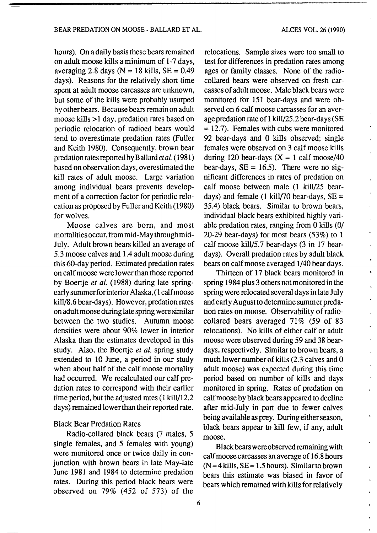#### BEAR PREDATION ON MOOSE- BALLARD ET AL.

 $\hat{\mathcal{L}}$ 

 $\mathbf{r}$ 

hours). On a daily basis these bears remained on adult moose kills a minimum of 1-7 days, averaging 2.8 days ( $N = 18$  kills,  $SE = 0.49$ days). Reasons for the relatively short time spent at adult moose carcasses are unknown, but some of the kills were probably usurped by other bears. Because bears remain on adult moose kills >1 day, predation rates based on periodic relocation of radioed bears would tend to overestimate predation rates (Fuller and Keith 1980). Consequently, brown bear predation rates reported by Ballard *eta/.* (1981) based on observation days, overestimated the kill rates of adult moose. Large variation among individual bears prevents development of a correction factor for periodic relocation as proposed by Fuller and Keith (1980) for wolves.

Moose calves are born, and most mortalities occur, from mid-May through mid-July. Adult brown bears killed an average of 5.3 moose calves and 1.4 adult moose during this60-day period. Estimated predation rates on calf moose were lower than those reported by Boertje *et al.* (1988) during late springearly summerforinterior Alaska, (1 calf moose kill/8 .6 bear-days). However, predation rates on adult moose during late spring were similar between the two studies. Autumn moose densities were about 90% lower in interior Alaska than the estimates developed in this study. Also, the Boertje *et al.* spring study extended to 10 June, a period in our study when about half of the calf moose mortality had occurred. We recalculated our calf predation rates to correspond with their earlier time period, but the adjusted rates (1 kill/12.2 days) remained lower than their reported rate.

### Black Bear Predation Rates

Radio-collared black bears (7 males, 5 single females, and 5 females with young) were monitored once or twice daily in conjunction with brown bears in late May-late June 1981 and 1984 to determine predation rates. During this period black bears were observed on 79% (452 of 573) of the

relocations. Sample sizes were too small to test for differences in predation rates among ages or family classes. None of the radiocollared bears were observed on fresh carcasses of adult moose. Male black bears were monitored for 151 bear-days and were observed on 6 calf moose carcasses for an average predation rate of 1 kilV25.2 bear-days (SE  $= 12.7$ ). Females with cubs were monitored 92 bear-days and 0 kills observed; single females were observed on 3 calf moose kills during 120 bear-days  $(X = 1 \text{ calf } \text{moose}/40)$ bear-days,  $SE = 16.5$ ). There were no significant differences in rates of predation on calf moose between male (1 kill/25 beardays) and female (1 kill/70 bear-days,  $SE =$ 35.4) black bears. Similar to brown bears, individual black bears exhibited highly variable predation rates, ranging from 0 kills (0/ 20-29 bear-days) for most bears (53%) to 1 calf moose kill/5.7 bear-days (3 in 17 beardays). Overall predation rates by adult black bears on calf moose averaged l/40 bear days.

Thirteen of 17 black bears monitored in spring 1984 plus 3 others not monitored in the spring were relocated several days in late July and early August to determine summer predation rates on moose. Observability of radiocollared bears averaged 71% (59 of 83 relocations). No kills of either calf or adult moose were observed during 59 and 38 beardays, respectively. Similar to brown bears, a much lower number of kills (2.3 calves and 0 adult moose) was expected during this time period based on number of kills and days monitored in spring. Rates of predation on calf moose by black bears appeared to decline after mid-July in part due to fewer calves being available as prey. During either season, black bears appear to kill few, if any, adult moose.

Black bears were observed remaining with calf moose carcasses an average of 16.8 hours  $(N = 4$  kills,  $SE = 1.5$  hours). Similar to brown bears this estimate was biased in favor of bears which remained with kills for relatively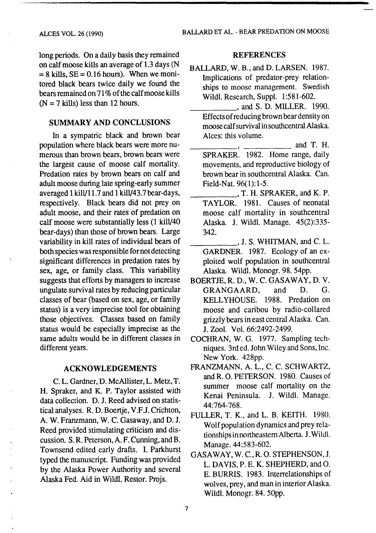#### ALCES VOL. 26 (1990)

long periods. On a daily basis they remained on calf moose kills an average of 1.3 days (N  $= 8$  kills, SE = 0.16 hours). When we monitored black bears twice daily we found the bears remained on 71% of the calf moose kills  $(N = 7$  kills) less than 12 hours.

## SUMMARY AND CONCLUSIONS

In a sympatric black and brown bear population where black bears were more numerous than brown bears, brown bears were the largest cause of moose calf mortality. Predation rates by brown bears on calf and adult moose during late spring-early summer averaged 1 kilV11.7 and 1 ki1V43.7bear-days, respectively. Black bears did not prey on adult moose, and their rates of predation on calf moose were substantially less (1 kilV40 bear-days) than those of brown bears. Large variability in kill rates of individual bears of both species was responsible for not detecting significant differences in predation rates by sex, age, or family class. This variability suggests that effons by managers to increase ungulate survival rates by reducing panicular classes of bear (based on sex, age, or family status) is a very imprecise tool for obtaining those objectives. Classes based on family status would be especially imprecise as the same adults would be in different classes in different years.

### ACKNOWLEDGEMENTS

C. L. Gardner, D. McAllister, L. Metz, T. H. Spraker, and K. P. Taylor assisted with data collection. D. J. Reed advised on statistical analyses. R. D. Boenje, V.F.J. Crichton, A. W. Franzmann, W. C. Gasaway, and D. J. Reed provided stimulating criticism and discussion. S. R. Peterson, A. F. Cunning, and B. Townsend edited early drafts. I. Parkhurst typed the manuscript. Funding was provided by the Alaska Power Authority and several Alaska Fed. Aid in Wildl. Restor. Projs.

### **REFERENCES**

- BALLARD, W. B., and D. LARSEN. 1987. Implications of predator-prey relationships to moose management. Swedish Wildl. Research, Suppl. 1:581-602.
	- \_\_\_\_\_ ,and S.D. MILLER. 1990. Effects of reducing brown bear density on moose calf survival in southcentral Alaska. Alces: this volume.
	- $\blacksquare$ , and T. H. SPRAKER. 1982. Home range, daily movements, and reproductive biology of brown bear in southcentral Alaska. Can. Field-Nat. 96(1):1-5.
	- \_\_\_\_\_ , T. H. SPRAKER, and K. P. TAYLOR. 1981. Causes of neonatal moose calf mortality in southcentral Alaska. J. Wildl. Manage. 45(2):335- 342.
- $\Box$ , J. S. WHITMAN, and C. L. GARDNER. 1987. Ecology of an exploited wolf population in southcentral Alaska. Wildl. Monogr. 98. 54pp.
- BOERTJE, R. D., W. C. GASAWAY, D. V. GRANGAARD, and D. G. KELLYHOUSE. 1988. Predation on moose and caribou by radio-collared grizzly bears in east central Alaska. Can. J. Zool. Vol. 66:2492-2499.
- COCHRAN, W. G. 1977. Sampling techniques. 3rd ed. John Wiley and Sons, Inc. New York. 428pp.
- FRANZMANN, A. L., C. C. SCHWARTZ, and R. 0. PETERSON. 1980. Causes of summer moose calf mortality on the Kenai Peninsula. J. Wildl. Manage. 44:764-768.
- FULLER, T. K., and L. B. KEITH. 1980. Wolf population dynamics and prey relationships in northeastern Alberta. J. Wildl. Manage.44:583-602.
- GASAWAY, W. C., R. 0. STEPHENSON, J. L. DAVIS, P. E. K. SHEPHERD, and 0. E. BURRIS. 1983. Interrelationships of wolves, prey, and man in interior Alaska. Wildl. Monogr. 84. 50pp.